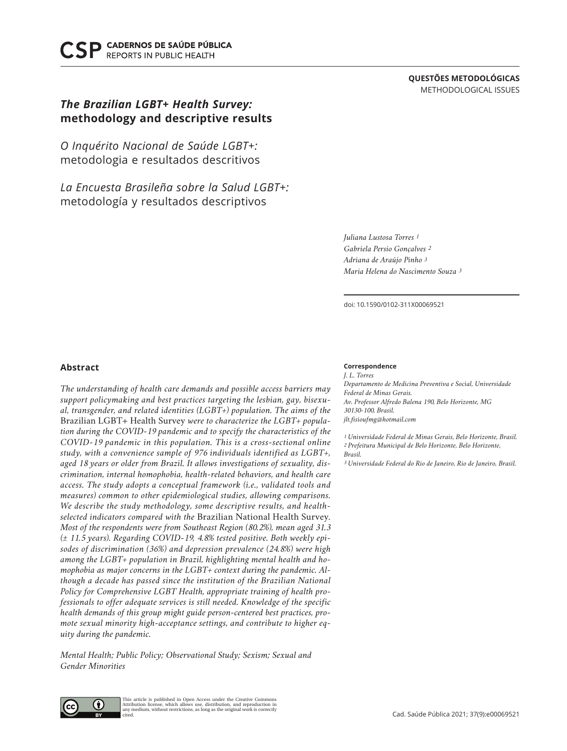**CADERNOS DE SAÚDE PÚBLICA REPORTS IN PUBLIC HEALTH** 

# **QUESTÕES METODOLÓGICAS** METHODOLOGICAL ISSUES

# *The Brazilian LGBT+ Health Survey:* **methodology and descriptive results**

*O Inquérito Nacional de Saúde LGBT+:* metodologia e resultados descritivos

*La Encuesta Brasileña sobre la Salud LGBT+:* metodología y resultados descriptivos

> *Juliana Lustosa Torres 1 Gabriela Persio Gonçalves 2 Adriana de Araújo Pinho 3 Maria Helena do Nascimento Souza 3*

doi: 10.1590/0102-311X00069521

## **Abstract**

*The understanding of health care demands and possible access barriers may support policymaking and best practices targeting the lesbian, gay, bisexual, transgender, and related identities (LGBT+) population. The aims of the*  Brazilian LGBT+ Health Survey *were to characterize the LGBT+ population during the COVID-19 pandemic and to specify the characteristics of the COVID-19 pandemic in this population. This is a cross-sectional online study, with a convenience sample of 976 individuals identified as LGBT+, aged 18 years or older from Brazil. It allows investigations of sexuality, discrimination, internal homophobia, health-related behaviors, and health care access. The study adopts a conceptual framework (i.e., validated tools and measures) common to other epidemiological studies, allowing comparisons. We describe the study methodology, some descriptive results, and healthselected indicators compared with the* Brazilian National Health Survey*. Most of the respondents were from Southeast Region (80.2%), mean aged 31.3 (± 11.5 years). Regarding COVID-19, 4.8% tested positive. Both weekly episodes of discrimination (36%) and depression prevalence (24.8%) were high among the LGBT+ population in Brazil, highlighting mental health and homophobia as major concerns in the LGBT+ context during the pandemic. Although a decade has passed since the institution of the Brazilian National Policy for Comprehensive LGBT Health, appropriate training of health professionals to offer adequate services is still needed. Knowledge of the specific health demands of this group might guide person-centered best practices, promote sexual minority high-acceptance settings, and contribute to higher equity during the pandemic.*

*Mental Health; Public Policy; Observational Study; Sexism; Sexual and Gender Minorities*

#### **Correspondence**

*J. L. Torres Departamento de Medicina Preventiva e Social, Universidade Federal de Minas Gerais. Av. Professor Alfredo Balena 190, Belo Horizonte, MG 30130-100, Brasil. jlt.fisioufmg@hotmail.com*

*1 Universidade Federal de Minas Gerais, Belo Horizonte, Brasil. 2 Prefeitura Municipal de Belo Horizonte, Belo Horizonte, Brasil.*

*3 Universidade Federal do Rio de Janeiro, Rio de Janeiro, Brasil.*



This article is published in Open Access under the Creative Commons Attribution license, which allows use, distribution, and reproduction in any medium, without restrictions, as long as the original work is correctly cited.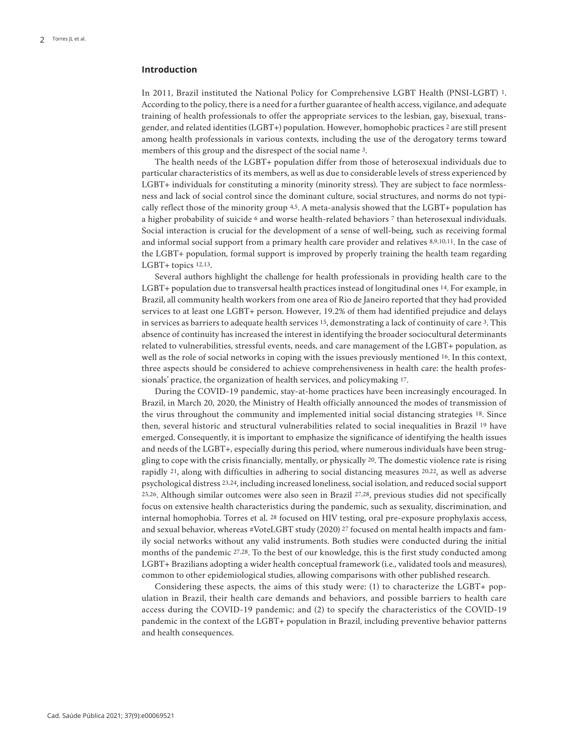## **Introduction**

In 2011, Brazil instituted the National Policy for Comprehensive LGBT Health (PNSI-LGBT) 1. According to the policy, there is a need for a further guarantee of health access, vigilance, and adequate training of health professionals to offer the appropriate services to the lesbian, gay, bisexual, transgender, and related identities (LGBT+) population. However, homophobic practices 2 are still present among health professionals in various contexts, including the use of the derogatory terms toward members of this group and the disrespect of the social name 3.

The health needs of the LGBT+ population differ from those of heterosexual individuals due to particular characteristics of its members, as well as due to considerable levels of stress experienced by LGBT+ individuals for constituting a minority (minority stress). They are subject to face normlessness and lack of social control since the dominant culture, social structures, and norms do not typically reflect those of the minority group 4,5. A meta-analysis showed that the LGBT+ population has a higher probability of suicide 6 and worse health-related behaviors 7 than heterosexual individuals. Social interaction is crucial for the development of a sense of well-being, such as receiving formal and informal social support from a primary health care provider and relatives 8,9,10,11. In the case of the LGBT+ population, formal support is improved by properly training the health team regarding LGBT+ topics 12,13.

Several authors highlight the challenge for health professionals in providing health care to the LGBT+ population due to transversal health practices instead of longitudinal ones 14. For example, in Brazil, all community health workers from one area of Rio de Janeiro reported that they had provided services to at least one LGBT+ person. However, 19.2% of them had identified prejudice and delays in services as barriers to adequate health services 15, demonstrating a lack of continuity of care 3. This absence of continuity has increased the interest in identifying the broader sociocultural determinants related to vulnerabilities, stressful events, needs, and care management of the LGBT+ population, as well as the role of social networks in coping with the issues previously mentioned 16. In this context, three aspects should be considered to achieve comprehensiveness in health care: the health professionals' practice, the organization of health services, and policymaking 17.

During the COVID-19 pandemic, stay-at-home practices have been increasingly encouraged. In Brazil, in March 20, 2020, the Ministry of Health officially announced the modes of transmission of the virus throughout the community and implemented initial social distancing strategies 18. Since then, several historic and structural vulnerabilities related to social inequalities in Brazil 19 have emerged. Consequently, it is important to emphasize the significance of identifying the health issues and needs of the LGBT+, especially during this period, where numerous individuals have been struggling to cope with the crisis financially, mentally, or physically 20. The domestic violence rate is rising rapidly 21, along with difficulties in adhering to social distancing measures 20,22, as well as adverse psychological distress 23,24, including increased loneliness, social isolation, and reduced social support 25,26. Although similar outcomes were also seen in Brazil 27,28, previous studies did not specifically focus on extensive health characteristics during the pandemic, such as sexuality, discrimination, and internal homophobia. Torres et al. 28 focused on HIV testing, oral pre-exposure prophylaxis access, and sexual behavior, whereas #VoteLGBT study (2020) 27 focused on mental health impacts and family social networks without any valid instruments. Both studies were conducted during the initial months of the pandemic <sup>27,28</sup>. To the best of our knowledge, this is the first study conducted among LGBT+ Brazilians adopting a wider health conceptual framework (i.e., validated tools and measures), common to other epidemiological studies, allowing comparisons with other published research.

Considering these aspects, the aims of this study were: (1) to characterize the LGBT+ population in Brazil, their health care demands and behaviors, and possible barriers to health care access during the COVID-19 pandemic; and (2) to specify the characteristics of the COVID-19 pandemic in the context of the LGBT+ population in Brazil, including preventive behavior patterns and health consequences.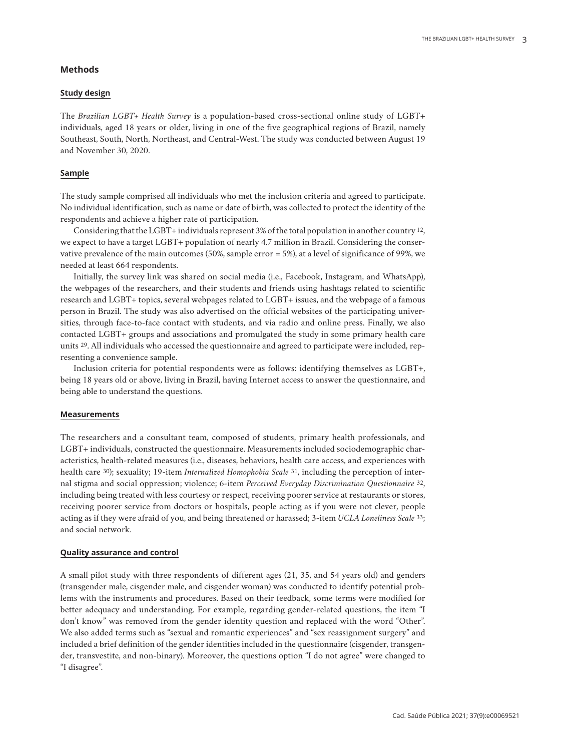## **Methods**

## **Study design**

The *Brazilian LGBT+ Health Survey* is a population-based cross-sectional online study of LGBT+ individuals, aged 18 years or older, living in one of the five geographical regions of Brazil, namely Southeast, South, North, Northeast, and Central-West. The study was conducted between August 19 and November 30, 2020.

## **Sample**

The study sample comprised all individuals who met the inclusion criteria and agreed to participate. No individual identification, such as name or date of birth, was collected to protect the identity of the respondents and achieve a higher rate of participation.

Considering that the LGBT+ individuals represent 3% of the total population in another country 12, we expect to have a target LGBT+ population of nearly 4.7 million in Brazil. Considering the conservative prevalence of the main outcomes (50%, sample error = 5%), at a level of significance of 99%, we needed at least 664 respondents.

Initially, the survey link was shared on social media (i.e., Facebook, Instagram, and WhatsApp), the webpages of the researchers, and their students and friends using hashtags related to scientific research and LGBT+ topics, several webpages related to LGBT+ issues, and the webpage of a famous person in Brazil. The study was also advertised on the official websites of the participating universities, through face-to-face contact with students, and via radio and online press. Finally, we also contacted LGBT+ groups and associations and promulgated the study in some primary health care units 29. All individuals who accessed the questionnaire and agreed to participate were included, representing a convenience sample.

Inclusion criteria for potential respondents were as follows: identifying themselves as LGBT+, being 18 years old or above, living in Brazil, having Internet access to answer the questionnaire, and being able to understand the questions.

#### **Measurements**

The researchers and a consultant team, composed of students, primary health professionals, and LGBT+ individuals, constructed the questionnaire. Measurements included sociodemographic characteristics, health-related measures (i.e., diseases, behaviors, health care access, and experiences with health care 30); sexuality; 19-item *Internalized Homophobia Scale* 31, including the perception of internal stigma and social oppression; violence; 6-item *Perceived Everyday Discrimination Questionnaire* 32, including being treated with less courtesy or respect, receiving poorer service at restaurants or stores, receiving poorer service from doctors or hospitals, people acting as if you were not clever, people acting as if they were afraid of you, and being threatened or harassed; 3-item *UCLA Loneliness Scale* 33; and social network.

#### **Quality assurance and control**

A small pilot study with three respondents of different ages (21, 35, and 54 years old) and genders (transgender male, cisgender male, and cisgender woman) was conducted to identify potential problems with the instruments and procedures. Based on their feedback, some terms were modified for better adequacy and understanding. For example, regarding gender-related questions, the item "I don't know" was removed from the gender identity question and replaced with the word "Other". We also added terms such as "sexual and romantic experiences" and "sex reassignment surgery" and included a brief definition of the gender identities included in the questionnaire (cisgender, transgender, transvestite, and non-binary). Moreover, the questions option "I do not agree" were changed to "I disagree".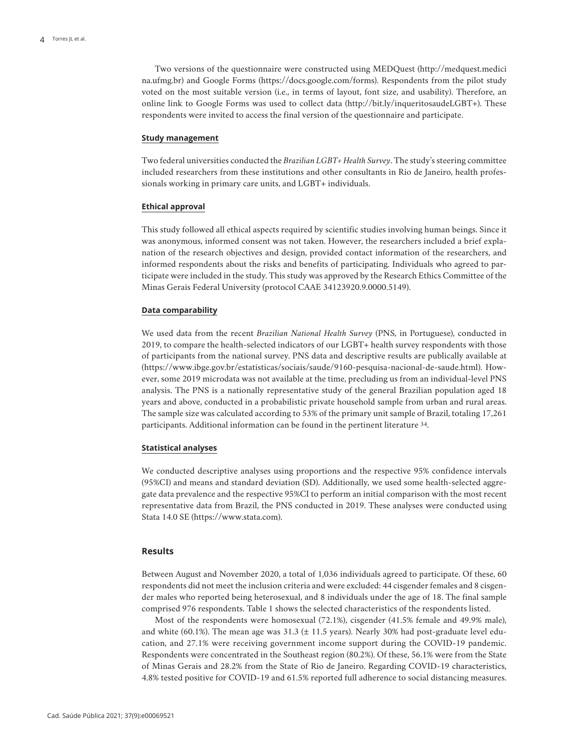Two versions of the questionnaire were constructed using MEDQuest (http://medquest.medici na.ufmg.br) and Google Forms (https://docs.google.com/forms). Respondents from the pilot study voted on the most suitable version (i.e., in terms of layout, font size, and usability). Therefore, an online link to Google Forms was used to collect data (http://bit.ly/inqueritosaudeLGBT+). These respondents were invited to access the final version of the questionnaire and participate.

#### **Study management**

Two federal universities conducted the *Brazilian LGBT+ Health Survey*. The study's steering committee included researchers from these institutions and other consultants in Rio de Janeiro, health professionals working in primary care units, and LGBT+ individuals.

#### **Ethical approval**

This study followed all ethical aspects required by scientific studies involving human beings. Since it was anonymous, informed consent was not taken. However, the researchers included a brief explanation of the research objectives and design, provided contact information of the researchers, and informed respondents about the risks and benefits of participating. Individuals who agreed to participate were included in the study. This study was approved by the Research Ethics Committee of the Minas Gerais Federal University (protocol CAAE 34123920.9.0000.5149).

#### **Data comparability**

We used data from the recent *Brazilian National Health Survey* (PNS, in Portuguese), conducted in 2019, to compare the health-selected indicators of our LGBT+ health survey respondents with those of participants from the national survey. PNS data and descriptive results are publically available at (https://www.ibge.gov.br/estatisticas/sociais/saude/9160-pesquisa-nacional-de-saude.html). However, some 2019 microdata was not available at the time, precluding us from an individual-level PNS analysis. The PNS is a nationally representative study of the general Brazilian population aged 18 years and above, conducted in a probabilistic private household sample from urban and rural areas. The sample size was calculated according to 53% of the primary unit sample of Brazil, totaling 17,261 participants. Additional information can be found in the pertinent literature 34.

## **Statistical analyses**

We conducted descriptive analyses using proportions and the respective 95% confidence intervals (95%CI) and means and standard deviation (SD). Additionally, we used some health-selected aggregate data prevalence and the respective 95%CI to perform an initial comparison with the most recent representative data from Brazil, the PNS conducted in 2019. These analyses were conducted using Stata 14.0 SE (https://www.stata.com).

## **Results**

Between August and November 2020, a total of 1,036 individuals agreed to participate. Of these, 60 respondents did not meet the inclusion criteria and were excluded: 44 cisgender females and 8 cisgender males who reported being heterosexual, and 8 individuals under the age of 18. The final sample comprised 976 respondents. Table 1 shows the selected characteristics of the respondents listed.

Most of the respondents were homosexual (72.1%), cisgender (41.5% female and 49.9% male), and white (60.1%). The mean age was  $31.3 \pm 11.5$  years). Nearly 30% had post-graduate level education, and 27.1% were receiving government income support during the COVID-19 pandemic. Respondents were concentrated in the Southeast region (80.2%). Of these, 56.1% were from the State of Minas Gerais and 28.2% from the State of Rio de Janeiro. Regarding COVID-19 characteristics, 4.8% tested positive for COVID-19 and 61.5% reported full adherence to social distancing measures.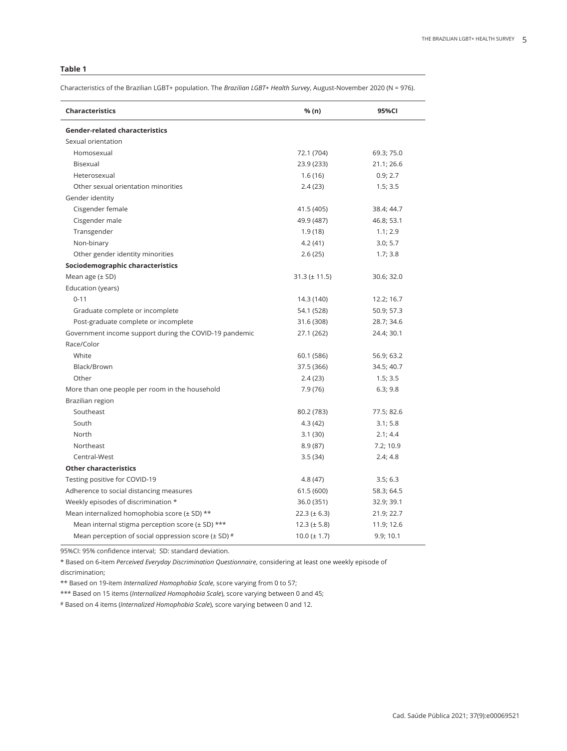## **Table 1**

Characteristics of the Brazilian LGBT+ population. The *Brazilian LGBT+ Health Survey*, August-November 2020 (N = 976).

| <b>Characteristics</b>                                      | % (n)             | 95%CI      |
|-------------------------------------------------------------|-------------------|------------|
| <b>Gender-related characteristics</b>                       |                   |            |
| Sexual orientation                                          |                   |            |
| Homosexual                                                  | 72.1 (704)        | 69.3; 75.0 |
| Bisexual                                                    | 23.9 (233)        | 21.1; 26.6 |
| Heterosexual                                                | 1.6(16)           | 0.9; 2.7   |
| Other sexual orientation minorities                         | 2.4(23)           | 1.5; 3.5   |
| Gender identity                                             |                   |            |
| Cisgender female                                            | 41.5 (405)        | 38.4; 44.7 |
| Cisgender male                                              | 49.9 (487)        | 46.8; 53.1 |
| Transgender                                                 | 1.9(18)           | 1.1; 2.9   |
| Non-binary                                                  | 4.2(41)           | 3.0; 5.7   |
| Other gender identity minorities                            | 2.6(25)           | 1.7; 3.8   |
| Sociodemographic characteristics                            |                   |            |
| Mean age $(\pm SD)$                                         | $31.3 (\pm 11.5)$ | 30.6; 32.0 |
| Education (years)                                           |                   |            |
| $0 - 11$                                                    | 14.3 (140)        | 12.2; 16.7 |
| Graduate complete or incomplete                             | 54.1 (528)        | 50.9; 57.3 |
| Post-graduate complete or incomplete                        | 31.6 (308)        | 28.7; 34.6 |
| Government income support during the COVID-19 pandemic      | 27.1 (262)        | 24.4; 30.1 |
| Race/Color                                                  |                   |            |
| White                                                       | 60.1 (586)        | 56.9; 63.2 |
| Black/Brown                                                 | 37.5 (366)        | 34.5; 40.7 |
| Other                                                       | 2.4(23)           | 1.5; 3.5   |
| More than one people per room in the household              | 7.9 (76)          | 6.3; 9.8   |
| Brazilian region                                            |                   |            |
| Southeast                                                   | 80.2 (783)        | 77.5; 82.6 |
| South                                                       | 4.3(42)           | 3.1; 5.8   |
| North                                                       | 3.1(30)           | 2.1; 4.4   |
| Northeast                                                   | 8.9(87)           | 7.2; 10.9  |
| Central-West                                                | 3.5(34)           | 2.4; 4.8   |
| <b>Other characteristics</b>                                |                   |            |
| Testing positive for COVID-19                               | 4.8 (47)          | 3.5; 6.3   |
| Adherence to social distancing measures                     | 61.5 (600)        | 58.3; 64.5 |
| Weekly episodes of discrimination *                         | 36.0 (351)        | 32.9; 39.1 |
| Mean internalized homophobia score ( $\pm$ SD) **           | $22.3 (\pm 6.3)$  | 21.9; 22.7 |
| Mean internal stigma perception score ( $\pm$ SD) ***       | $12.3 (\pm 5.8)$  | 11.9; 12.6 |
| Mean perception of social oppression score ( $\pm$ SD) $\#$ | $10.0 (\pm 1.7)$  | 9.9; 10.1  |

95%CI: 95% confidence interval; SD: standard deviation.

\* Based on 6-item *Perceived Everyday Discrimination Questionnaire*, considering at least one weekly episode of

discrimination;

\*\* Based on 19-item *Internalized Homophobia Scale*, score varying from 0 to 57;

\*\*\* Based on 15 items (*Internalized Homophobia Scale*), score varying between 0 and 45;

# Based on 4 items (*Internalized Homophobia Scale*), score varying between 0 and 12.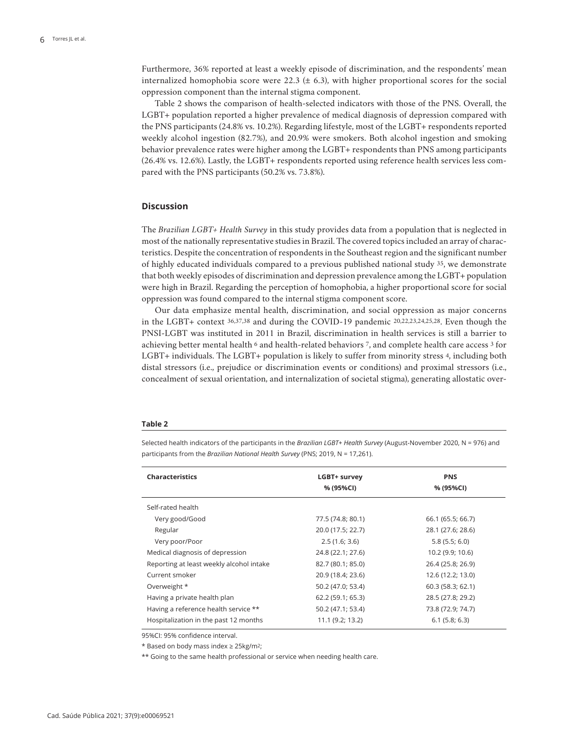Furthermore, 36% reported at least a weekly episode of discrimination, and the respondents' mean internalized homophobia score were 22.3  $(\pm 6.3)$ , with higher proportional scores for the social oppression component than the internal stigma component.

Table 2 shows the comparison of health-selected indicators with those of the PNS. Overall, the LGBT+ population reported a higher prevalence of medical diagnosis of depression compared with the PNS participants (24.8% vs. 10.2%). Regarding lifestyle, most of the LGBT+ respondents reported weekly alcohol ingestion (82.7%), and 20.9% were smokers. Both alcohol ingestion and smoking behavior prevalence rates were higher among the LGBT+ respondents than PNS among participants (26.4% vs. 12.6%). Lastly, the LGBT+ respondents reported using reference health services less compared with the PNS participants (50.2% vs. 73.8%).

## **Discussion**

The *Brazilian LGBT+ Health Survey* in this study provides data from a population that is neglected in most of the nationally representative studies in Brazil. The covered topics included an array of characteristics. Despite the concentration of respondents in the Southeast region and the significant number of highly educated individuals compared to a previous published national study 35, we demonstrate that both weekly episodes of discrimination and depression prevalence among the LGBT+ population were high in Brazil. Regarding the perception of homophobia, a higher proportional score for social oppression was found compared to the internal stigma component score.

Our data emphasize mental health, discrimination, and social oppression as major concerns in the LGBT+ context 36,37,38 and during the COVID-19 pandemic 20,22,23,24,25,28. Even though the PNSI-LGBT was instituted in 2011 in Brazil, discrimination in health services is still a barrier to achieving better mental health <sup>6</sup> and health-related behaviors <sup>7</sup>, and complete health care access <sup>3</sup> for LGBT+ individuals. The LGBT+ population is likely to suffer from minority stress 4, including both distal stressors (i.e., prejudice or discrimination events or conditions) and proximal stressors (i.e., concealment of sexual orientation, and internalization of societal stigma), generating allostatic over-

#### **Table 2**

Selected health indicators of the participants in the *Brazilian LGBT+ Health Survey* (August-November 2020, N = 976) and participants from the *Brazilian National Health Survey* (PNS; 2019, N = 17,261).

| <b>Characteristics</b>                   | LGBT+ survey<br>% (95%CI) | <b>PNS</b><br>% (95%CI) |
|------------------------------------------|---------------------------|-------------------------|
| Self-rated health                        |                           |                         |
| Very good/Good                           | 77.5 (74.8; 80.1)         | 66.1 (65.5; 66.7)       |
| Regular                                  | 20.0 (17.5; 22.7)         | 28.1 (27.6; 28.6)       |
| Very poor/Poor                           | 2.5(1.6; 3.6)             | 5.8(5.5; 6.0)           |
| Medical diagnosis of depression          | 24.8 (22.1; 27.6)         | 10.2 (9.9; 10.6)        |
| Reporting at least weekly alcohol intake | 82.7 (80.1; 85.0)         | 26.4 (25.8; 26.9)       |
| Current smoker                           | 20.9 (18.4; 23.6)         | 12.6 (12.2; 13.0)       |
| Overweight *                             | 50.2 (47.0; 53.4)         | 60.3 (58.3; 62.1)       |
| Having a private health plan             | 62.2 (59.1; 65.3)         | 28.5 (27.8; 29.2)       |
| Having a reference health service **     | 50.2 (47.1; 53.4)         | 73.8 (72.9; 74.7)       |
| Hospitalization in the past 12 months    | 11.1 (9.2; 13.2)          | 6.1(5.8; 6.3)           |

95%CI: 95% confidence interval.

\* Based on body mass index ≥ 25kg/m2;

\*\* Going to the same health professional or service when needing health care.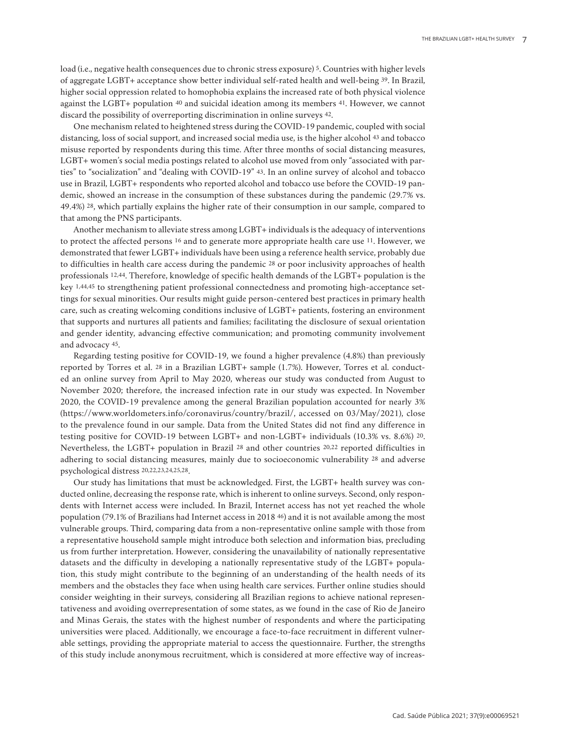load (i.e., negative health consequences due to chronic stress exposure) 5. Countries with higher levels of aggregate LGBT+ acceptance show better individual self-rated health and well-being 39. In Brazil, higher social oppression related to homophobia explains the increased rate of both physical violence against the LGBT+ population 40 and suicidal ideation among its members 41. However, we cannot discard the possibility of overreporting discrimination in online surveys 42.

One mechanism related to heightened stress during the COVID-19 pandemic, coupled with social distancing, loss of social support, and increased social media use, is the higher alcohol 43 and tobacco misuse reported by respondents during this time. After three months of social distancing measures, LGBT+ women's social media postings related to alcohol use moved from only "associated with parties" to "socialization" and "dealing with COVID-19" 43. In an online survey of alcohol and tobacco use in Brazil, LGBT+ respondents who reported alcohol and tobacco use before the COVID-19 pandemic, showed an increase in the consumption of these substances during the pandemic (29.7% vs. 49.4%) 28, which partially explains the higher rate of their consumption in our sample, compared to that among the PNS participants.

Another mechanism to alleviate stress among LGBT+ individuals is the adequacy of interventions to protect the affected persons 16 and to generate more appropriate health care use 11. However, we demonstrated that fewer LGBT+ individuals have been using a reference health service, probably due to difficulties in health care access during the pandemic 28 or poor inclusivity approaches of health professionals 12,44. Therefore, knowledge of specific health demands of the LGBT+ population is the key 1,44,45 to strengthening patient professional connectedness and promoting high-acceptance settings for sexual minorities. Our results might guide person-centered best practices in primary health care, such as creating welcoming conditions inclusive of LGBT+ patients, fostering an environment that supports and nurtures all patients and families; facilitating the disclosure of sexual orientation and gender identity, advancing effective communication; and promoting community involvement and advocacy 45.

Regarding testing positive for COVID-19, we found a higher prevalence (4.8%) than previously reported by Torres et al. 28 in a Brazilian LGBT+ sample (1.7%). However, Torres et al. conducted an online survey from April to May 2020, whereas our study was conducted from August to November 2020; therefore, the increased infection rate in our study was expected. In November 2020, the COVID-19 prevalence among the general Brazilian population accounted for nearly 3% (https://www.worldometers.info/coronavirus/country/brazil/, accessed on 03/May/2021), close to the prevalence found in our sample. Data from the United States did not find any difference in testing positive for COVID-19 between LGBT+ and non-LGBT+ individuals (10.3% vs. 8.6%) 20. Nevertheless, the LGBT+ population in Brazil 28 and other countries 20,22 reported difficulties in adhering to social distancing measures, mainly due to socioeconomic vulnerability 28 and adverse psychological distress 20,22,23,24,25,28.

Our study has limitations that must be acknowledged. First, the LGBT+ health survey was conducted online, decreasing the response rate, which is inherent to online surveys. Second, only respondents with Internet access were included. In Brazil, Internet access has not yet reached the whole population (79.1% of Brazilians had Internet access in 2018 46) and it is not available among the most vulnerable groups. Third, comparing data from a non-representative online sample with those from a representative household sample might introduce both selection and information bias, precluding us from further interpretation. However, considering the unavailability of nationally representative datasets and the difficulty in developing a nationally representative study of the LGBT+ population, this study might contribute to the beginning of an understanding of the health needs of its members and the obstacles they face when using health care services. Further online studies should consider weighting in their surveys, considering all Brazilian regions to achieve national representativeness and avoiding overrepresentation of some states, as we found in the case of Rio de Janeiro and Minas Gerais, the states with the highest number of respondents and where the participating universities were placed. Additionally, we encourage a face-to-face recruitment in different vulnerable settings, providing the appropriate material to access the questionnaire. Further, the strengths of this study include anonymous recruitment, which is considered at more effective way of increas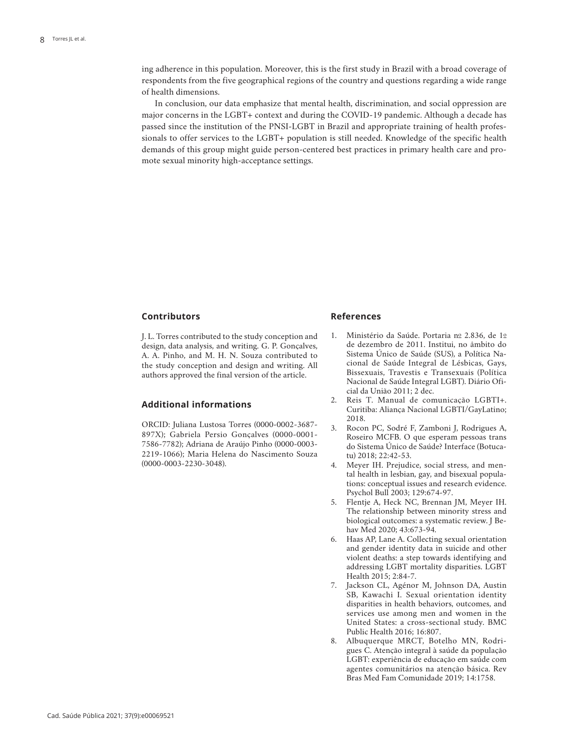ing adherence in this population. Moreover, this is the first study in Brazil with a broad coverage of respondents from the five geographical regions of the country and questions regarding a wide range of health dimensions.

In conclusion, our data emphasize that mental health, discrimination, and social oppression are major concerns in the LGBT+ context and during the COVID-19 pandemic. Although a decade has passed since the institution of the PNSI-LGBT in Brazil and appropriate training of health professionals to offer services to the LGBT+ population is still needed. Knowledge of the specific health demands of this group might guide person-centered best practices in primary health care and promote sexual minority high-acceptance settings.

## **Contributors**

J. L. Torres contributed to the study conception and design, data analysis, and writing. G. P. Gonçalves, A. A. Pinho, and M. H. N. Souza contributed to the study conception and design and writing. All authors approved the final version of the article.

## **Additional informations**

ORCID: Juliana Lustosa Torres (0000-0002-3687- 897X); Gabriela Persio Gonçalves (0000-0001- 7586-7782); Adriana de Araújo Pinho (0000-0003- 2219-1066); Maria Helena do Nascimento Souza (0000-0003-2230-3048).

## **References**

- 1. Ministério da Saúde. Portaria nº 2.836, de 1º de dezembro de 2011. Institui, no âmbito do Sistema Único de Saúde (SUS), a Política Nacional de Saúde Integral de Lésbicas, Gays, Bissexuais, Travestis e Transexuais (Política Nacional de Saúde Integral LGBT). Diário Oficial da União 2011; 2 dec.
- 2. Reis T. Manual de comunicação LGBTI+. Curitiba: Aliança Nacional LGBTI/GayLatino; 2018.
- 3. Rocon PC, Sodré F, Zamboni J, Rodrigues A, Roseiro MCFB. O que esperam pessoas trans do Sistema Único de Saúde? Interface (Botucatu) 2018; 22:42-53.
- Meyer IH. Prejudice, social stress, and mental health in lesbian, gay, and bisexual populations: conceptual issues and research evidence. Psychol Bull 2003; 129:674-97.
- 5. Flentje A, Heck NC, Brennan JM, Meyer IH. The relationship between minority stress and biological outcomes: a systematic review. J Behav Med 2020; 43:673-94.
- 6. Haas AP, Lane A. Collecting sexual orientation and gender identity data in suicide and other violent deaths: a step towards identifying and addressing LGBT mortality disparities. LGBT Health 2015; 2:84-7.
- 7. Jackson CL, Agénor M, Johnson DA, Austin SB, Kawachi I. Sexual orientation identity disparities in health behaviors, outcomes, and services use among men and women in the United States: a cross-sectional study. BMC Public Health 2016; 16:807.
- 8. Albuquerque MRCT, Botelho MN, Rodrigues C. Atenção integral à saúde da população LGBT: experiência de educação em saúde com agentes comunitários na atenção básica. Rev Bras Med Fam Comunidade 2019; 14:1758.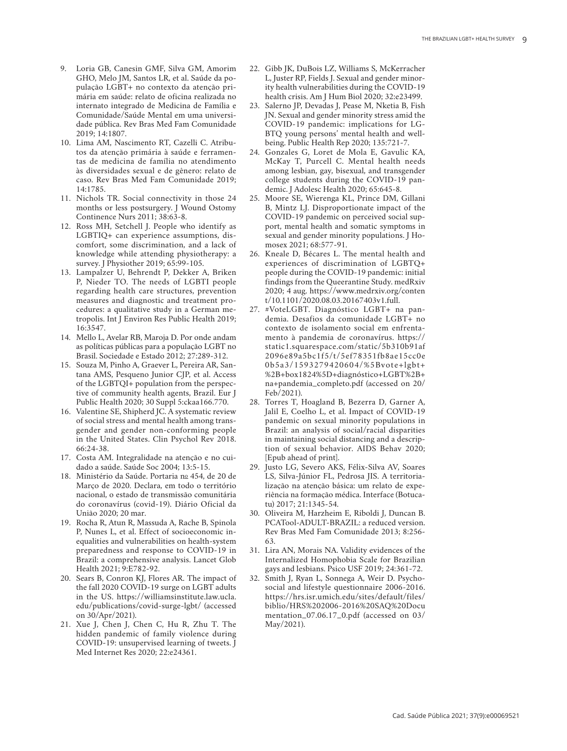- 9. Loria GB, Canesin GMF, Silva GM, Amorim GHO, Melo JM, Santos LR, et al. Saúde da po pulação LGBT+ no contexto da atenção pri mária em saúde: relato de oficina realizada no internato integrado de Medicina de Família e Comunidade/Saúde Mental em uma universi dade pública. Rev Bras Med Fam Comunidade 2019; 14:1807.
- 10. Lima AM, Nascimento RT, Cazelli C. Atribu tos da atenção primária à saúde e ferramen tas de medicina de família no atendimento às diversidades sexual e de gênero: relato de caso. Rev Bras Med Fam Comunidade 2019; 14:1785.
- 11. Nichols TR. Social connectivity in those 24 months or less postsurgery. J Wound Ostomy Continence Nurs 2011; 38:63-8.
- 12. Ross MH, Setchell J. People who identify as LGBTIQ+ can experience assumptions, dis comfort, some discrimination, and a lack of knowledge while attending physiotherapy: a survey. J Physiother 2019; 65:99-105.
- 13. Lampalzer U, Behrendt P, Dekker A, Briken P, Nieder TO. The needs of LGBTI people regarding health care structures, prevention measures and diagnostic and treatment pro cedures: a qualitative study in a German me tropolis. Int J Environ Res Public Health 2019; 16:3547.
- 14. Mello L, Avelar RB, Maroja D. Por onde andam as políticas públicas para a população LGBT no Brasil. Sociedade e Estado 2012; 27:289-312.
- 15. Souza M, Pinho A, Graever L, Pereira AR, San tana AMS, Pesqueno Junior CJP, et al. Access of the LGBTQI+ population from the perspec tive of community health agents, Brazil. Eur J Public Health 2020; 30 Suppl 5:ckaa166.770.
- 16. Valentine SE, Shipherd JC. A systematic review of social stress and mental health among trans gender and gender non-conforming people in the United States. Clin Psychol Rev 2018. 66:24-38.
- 17. Costa AM. Integralidade na atenção e no cui dado a saúde. Saúde Soc 2004; 13:5-15.
- 18. Ministério da Saúde. Portaria nº 454, de 20 de Março de 2020. Declara, em todo o território nacional, o estado de transmissão comunitária do coronavírus (covid-19). Diário Oficial da União 2020; 20 mar.
- 19. Rocha R, Atun R, Massuda A, Rache B, Spinola P, Nunes L, et al. Effect of socioeconomic in equalities and vulnerabilities on health-system preparedness and response to COVID-19 in Brazil: a comprehensive analysis. Lancet Glob Health 2021; 9:E782-92.
- 20. Sears B, Conron KJ, Flores AR. The impact of the fall 2020 COVID-19 surge on LGBT adults in the US. https://williamsinstitute.law.ucla. edu/publications/covid-surge-lgbt/ (accessed on 30/Apr/2021).
- 21. Xue J, Chen J, Chen C, Hu R, Zhu T. The hidden pandemic of family violence during COVID-19: unsupervised learning of tweets. J Med Internet Res 2020; 22:e24361.
- 22. Gibb JK, DuBois LZ, Williams S, McKerracher L, Juster RP, Fields J. Sexual and gender minor ity health vulnerabilities during the COVID-19 health crisis. Am J Hum Biol 2020; 32:e23499.
- 23. Salerno JP, Devadas J, Pease M, Nketia B, Fish JN. Sexual and gender minority stress amid the COVID-19 pandemic: implications for LG - BTQ young persons' mental health and wellbeing. Public Health Rep 2020; 135:721-7.
- 24. Gonzales G, Loret de Mola E, Gavulic KA, McKay T, Purcell C. Mental health needs among lesbian, gay, bisexual, and transgender college students during the COVID-19 pan demic. J Adolesc Health 2020; 65:645-8.
- 25. Moore SE, Wierenga KL, Prince DM, Gillani B, Mintz LJ. Disproportionate impact of the COVID-19 pandemic on perceived social sup port, mental health and somatic symptoms in sexual and gender minority populations. J Ho mosex 2021; 68:577-91.
- 26. Kneale D, Bécares L. The mental health and experiences of discrimination of LGBTQ+ people during the COVID-19 pandemic: initial findings from the Queerantine Study. medRxiv 2020; 4 aug. https://www.medrxiv.org/conten t/10.1101/2020.08.03.20167403v1.full.
- 27. #VoteLGBT. Diagnóstico LGBT+ na pan demia. Desafios da comunidade LGBT+ no contexto de isolamento social em enfrenta mento à pandemia de coronavírus. https:// static1.squarespace.com/static/5b310b91af 2096e89a5bc1f5/t/5ef78351fb8ae15cc0e 0b5a3/1593279420604/%5Bvote+lgbt+ %2B+box1824%5D+diagnóstico+LGBT%2B+ na+pandemia\_completo.pdf (accessed on 20/ Feb/2021).
- 28. Torres T, Hoagland B, Bezerra D, Garner A, Jalil E, Coelho L, et al. Impact of COVID-19 pandemic on sexual minority populations in Brazil: an analysis of social/racial disparities in maintaining social distancing and a descrip tion of sexual behavior. AIDS Behav 2020; [Epub ahead of print].
- 29. Justo LG, Severo AKS, Félix-Silva AV, Soares LS, Silva-Júnior FL, Pedrosa JIS. A territoria lização na atenção básica: um relato de expe riência na formação médica. Interface (Botuca tu) 2017; 21:1345-54.
- 30. Oliveira M, Harzheim E, Riboldi J, Duncan B. PCATool-ADULT-BRAZIL: a reduced version. Rev Bras Med Fam Comunidade 2013; 8:256- 63.
- 31. Lira AN, Morais NA. Validity evidences of the Internalized Homophobia Scale for Brazilian gays and lesbians. Psico USF 2019; 24:361-72.
- 32. Smith J, Ryan L, Sonnega A, Weir D. Psycho social and lifestyle questionnaire 2006-2016. https://hrs.isr.umich.edu/sites/default/files/ biblio/HRS%202006-2016%20SAQ%20Docu mentation\_07.06.17\_0.pdf (accessed on 03/ May/2021).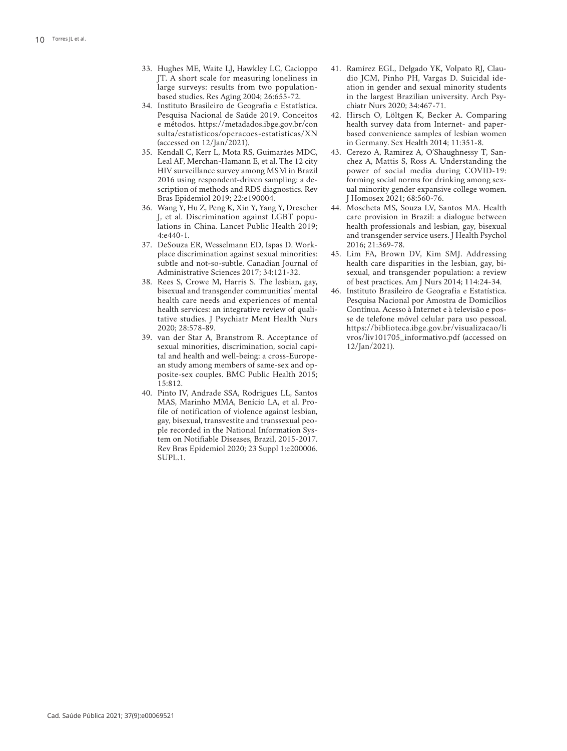- 33. Hughes ME, Waite LJ, Hawkley LC, Cacioppo JT. A short scale for measuring loneliness in large surveys: results from two populationbased studies. Res Aging 2004; 26:655-72.
- 34. Instituto Brasileiro de Geografia e Estatística. Pesquisa Nacional de Saúde 2019. Conceitos e métodos. https://metadados.ibge.gov.br/con sulta/estatisticos/operacoes-estatisticas/XN (accessed on 12/Jan/2021).
- 35. Kendall C, Kerr L, Mota RS, Guimarães MDC, Leal AF, Merchan-Hamann E, et al. The 12 city HIV surveillance survey among MSM in Brazil 2016 using respondent-driven sampling: a de scription of methods and RDS diagnostics. Rev Bras Epidemiol 2019; 22:e190004.
- 36. Wang Y, Hu Z, Peng K, Xin Y, Yang Y, Drescher J, et al. Discrimination against LGBT popu lations in China. Lancet Public Health 2019; 4:e440-1.
- 37. DeSouza ER, Wesselmann ED, Ispas D. Work place discrimination against sexual minorities: subtle and not-so-subtle. Canadian Journal of Administrative Sciences 2017; 34:121-32.
- 38. Rees S, Crowe M, Harris S. The lesbian, gay, bisexual and transgender communities' mental health care needs and experiences of mental health services: an integrative review of quali tative studies. J Psychiatr Ment Health Nurs 2020; 28:578-89.
- 39. van der Star A, Branstrom R. Acceptance of sexual minorities, discrimination, social capi tal and health and well-being: a cross-Europe an study among members of same-sex and op posite-sex couples. BMC Public Health 2015; 15:812.
- 40. Pinto IV, Andrade SSA, Rodrigues LL, Santos MAS, Marinho MMA, Benício LA, et al. Pro file of notification of violence against lesbian, gay, bisexual, transvestite and transsexual peo ple recorded in the National Information Sys tem on Notifiable Diseases, Brazil, 2015-2017. Rev Bras Epidemiol 2020; 23 Suppl 1:e200006. SUPL.1.
- 41. Ramírez EGL, Delgado YK, Volpato RJ, Clau dio JCM, Pinho PH, Vargas D. Suicidal ide ation in gender and sexual minority students in the largest Brazilian university. Arch Psy chiatr Nurs 2020; 34:467-71.
- 42. Hirsch O, Löltgen K, Becker A. Comparing health survey data from Internet- and paperbased convenience samples of lesbian women in Germany. Sex Health 2014; 11:351-8.
- 43. Cerezo A, Ramirez A, O'Shaughnessy T, San chez A, Mattis S, Ross A. Understanding the power of social media during COVID-19: forming social norms for drinking among sex ual minority gender expansive college women. J Homosex 2021; 68:560-76.
- 44. Moscheta MS, Souza LV, Santos MA. Health care provision in Brazil: a dialogue between health professionals and lesbian, gay, bisexual and transgender service users. J Health Psychol 2016; 21:369-78.
- 45. Lim FA, Brown DV, Kim SMJ. Addressing health care disparities in the lesbian, gay, bi sexual, and transgender population: a review of best practices. Am J Nurs 2014; 114:24-34.
- 46. Instituto Brasileiro de Geografia e Estatística. Pesquisa Nacional por Amostra de Domicílios Contínua. Acesso à Internet e à televisão e pos se de telefone móvel celular para uso pessoal. https://biblioteca.ibge.gov.br/visualizacao/li vros/liv101705\_informativo.pdf (accessed on 12/Jan/2021).